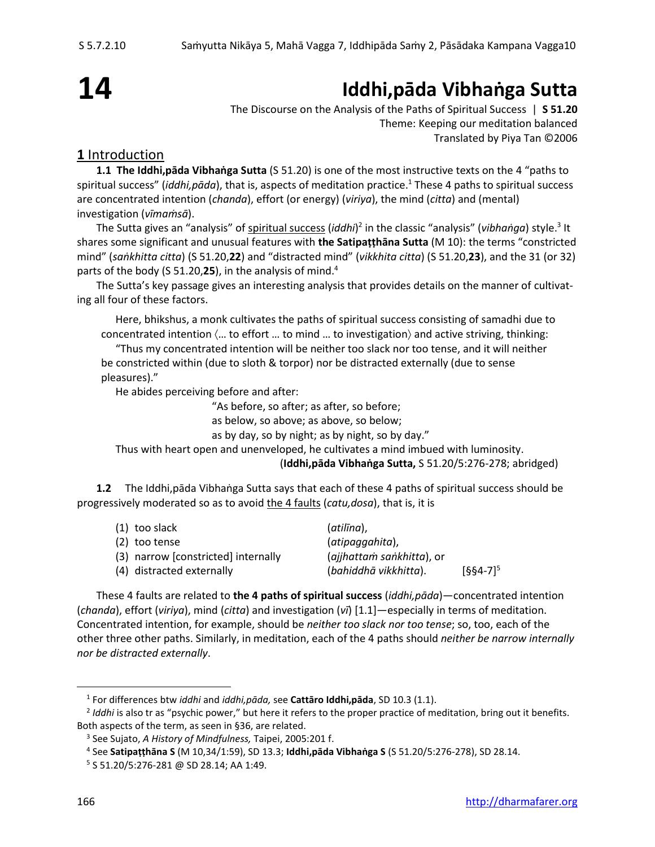# **14**

## **Iddhi,pāda Vibhaṅga Sutta**

The Discourse on the Analysis of the Paths of Spiritual Success | **S 51.20** Theme: Keeping our meditation balanced Translated by Piya Tan ©2006

### **1** Introduction

**1.1 The Iddhi,pāda Vibhaṅga Sutta** (S 51.20) is one of the most instructive texts on the 4 "paths to spiritual success" (*iddhi,pāda*), that is, aspects of meditation practice. <sup>1</sup> These 4 paths to spiritual success are concentrated intention (*chanda*), effort (or energy) (*viriya*), the mind (*citta*) and (mental) investigation (*vīmaṁsā*).

The Sutta gives an "analysis" of <u>spiritual success</u> (*iddhi*)<sup>2</sup> in the classic "analysis" (*vibhaṅga*) style.<sup>3</sup> It shares some significant and unusual features with **the Satipaṭṭhāna Sutta** (M 10): the terms "constricted mind" (*saṅkhitta citta*) (S 51.20,**22**) and "distracted mind" (*vikkhita citta*) (S 51.20,**23**), and the 31 (or 32) parts of the body (S 51.20,**25**), in the analysis of mind.<sup>4</sup>

The Sutta's key passage gives an interesting analysis that provides details on the manner of cultivating all four of these factors.

Here, bhikshus, a monk cultivates the paths of spiritual success consisting of samadhi due to concentrated intention  $\langle ...$  to effort  $...$  to mind  $...$  to investigation) and active striving, thinking:

"Thus my concentrated intention will be neither too slack nor too tense, and it will neither be constricted within (due to sloth & torpor) nor be distracted externally (due to sense pleasures)."

He abides perceiving before and after:

"As before, so after; as after, so before;

as below, so above; as above, so below;

as by day, so by night; as by night, so by day."

Thus with heart open and unenveloped, he cultivates a mind imbued with luminosity.

(**Iddhi,pāda Vibhaṅga Sutta,** S 51.20/5:276-278; abridged)

**1.2** The Iddhi,pāda Vibhaṅga Sutta says that each of these 4 paths of spiritual success should be progressively moderated so as to avoid the 4 faults (*catu,dosa*), that is, it is

| $(1)$ too slack                     | (atilīna),                |               |
|-------------------------------------|---------------------------|---------------|
| (2) too tense                       | (atipaggahita),           |               |
| (3) narrow [constricted] internally | (ajjhattam sankhitta), or |               |
| (4) distracted externally           | (bahiddhā vikkhitta).     | $[664-7]^{5}$ |

These 4 faults are related to **the 4 paths of spiritual success** (*iddhi,pāda*)—concentrated intention (*chanda*), effort (*viriya*), mind (*citta*) and investigation (*vī*) [1.1]—especially in terms of meditation. Concentrated intention, for example, should be *neither too slack nor too tense*; so, too, each of the other three other paths. Similarly, in meditation, each of the 4 paths should *neither be narrow internally nor be distracted externally*.

<sup>1</sup> For differences btw *iddhi* and *iddhi,pāda,* see **Cattāro Iddhi,pāda**, SD 10.3 (1.1).

<sup>&</sup>lt;sup>2</sup> Iddhi is also tr as "psychic power," but here it refers to the proper practice of meditation, bring out it benefits. Both aspects of the term, as seen in §36, are related.

<sup>3</sup> See Sujato, *A History of Mindfulness,* Taipei, 2005:201 f.

<sup>4</sup> See **Satipaṭṭhāna S** (M 10,34/1:59), SD 13.3; **Iddhi,pāda Vibhaṅga S** (S 51.20/5:276-278), SD 28.14.

<sup>5</sup> S 51.20/5:276-281 @ SD 28.14; AA 1:49.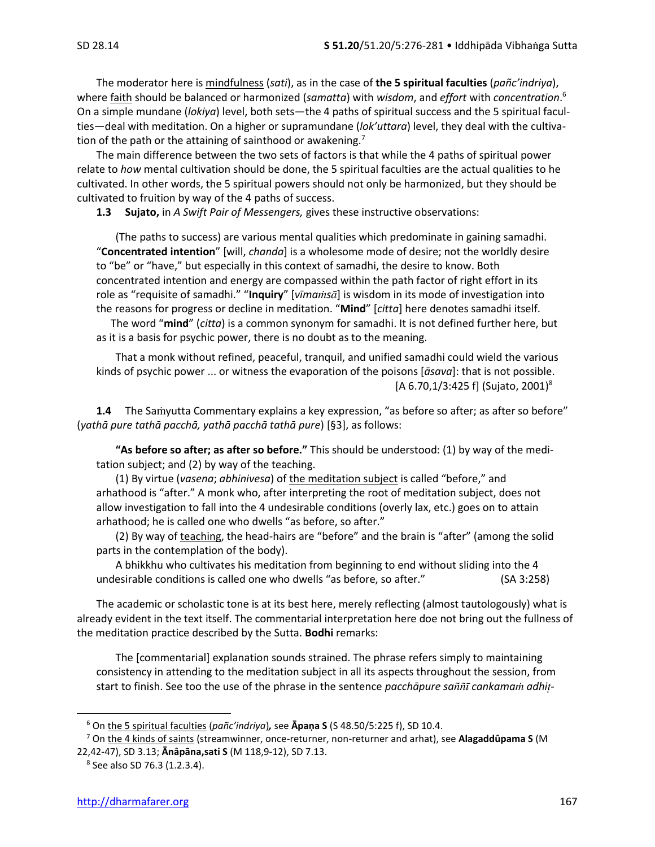The moderator here is mindfulness (*sati*), as in the case of **the 5 spiritual faculties** (*pañc'indriya*), where faith should be balanced or harmonized (*samatta*) with *wisdom*, and *effort* with *concentration*. 6 On a simple mundane (*lokiya*) level, both sets—the 4 paths of spiritual success and the 5 spiritual faculties—deal with meditation. On a higher or supramundane (*lok'uttara*) level, they deal with the cultivation of the path or the attaining of sainthood or awakening.<sup>7</sup>

The main difference between the two sets of factors is that while the 4 paths of spiritual power relate to *how* mental cultivation should be done, the 5 spiritual faculties are the actual qualities to he cultivated. In other words, the 5 spiritual powers should not only be harmonized, but they should be cultivated to fruition by way of the 4 paths of success.

**1.3 Sujato,** in *A Swift Pair of Messengers,* gives these instructive observations:

(The paths to success) are various mental qualities which predominate in gaining samadhi. "**Concentrated intention**" [will, *chanda*] is a wholesome mode of desire; not the worldly desire to "be" or "have," but especially in this context of samadhi, the desire to know. Both concentrated intention and energy are compassed within the path factor of right effort in its role as "requisite of samadhi." "Inquiry" [vīmamsa] is wisdom in its mode of investigation into the reasons for progress or decline in meditation. "**Mind**" [*citta*] here denotes samadhi itself.

The word "**mind**" (*citta*) is a common synonym for samadhi. It is not defined further here, but as it is a basis for psychic power, there is no doubt as to the meaning.

That a monk without refined, peaceful, tranquil, and unified samadhi could wield the various kinds of psychic power ... or witness the evaporation of the poisons [*āsava*]: that is not possible. [A 6.70,1/3:425 f] (Sujato, 2001) 8

**1.4** The Samyutta Commentary explains a key expression, "as before so after; as after so before" (*yathā pure tathā pacchā, yathā pacchā tathā pure*) [§3], as follows:

**"As before so after; as after so before."** This should be understood: (1) by way of the meditation subject; and (2) by way of the teaching.

(1) By virtue (*vasena*; *abhinivesa*) of the meditation subject is called "before," and arhathood is "after." A monk who, after interpreting the root of meditation subject, does not allow investigation to fall into the 4 undesirable conditions (overly lax, etc.) goes on to attain arhathood; he is called one who dwells "as before, so after."

(2) By way of teaching, the head-hairs are "before" and the brain is "after" (among the solid parts in the contemplation of the body).

A bhikkhu who cultivates his meditation from beginning to end without sliding into the 4 undesirable conditions is called one who dwells "as before, so after." (SA 3:258)

The academic or scholastic tone is at its best here, merely reflecting (almost tautologously) what is already evident in the text itself. The commentarial interpretation here doe not bring out the fullness of the meditation practice described by the Sutta. **Bodhi** remarks:

The [commentarial] explanation sounds strained. The phrase refers simply to maintaining consistency in attending to the meditation subject in all its aspects throughout the session, from start to finish. See too the use of the phrase in the sentence *pacchāpure sa cankama adhi-*

<sup>6</sup> On the 5 spiritual faculties (*pañc'indriya*)*,* see **Āpaṇa S** (S 48.50/5:225 f), SD 10.4.

<sup>7</sup> On the 4 kinds of saints (streamwinner, once-returner, non-returner and arhat), see **Alagaddûpama S** (M 22,42-47), SD 3.13; **Ānâpāna,sati S** (M 118,9-12), SD 7.13.

<sup>8</sup> See also SD 76.3 (1.2.3.4).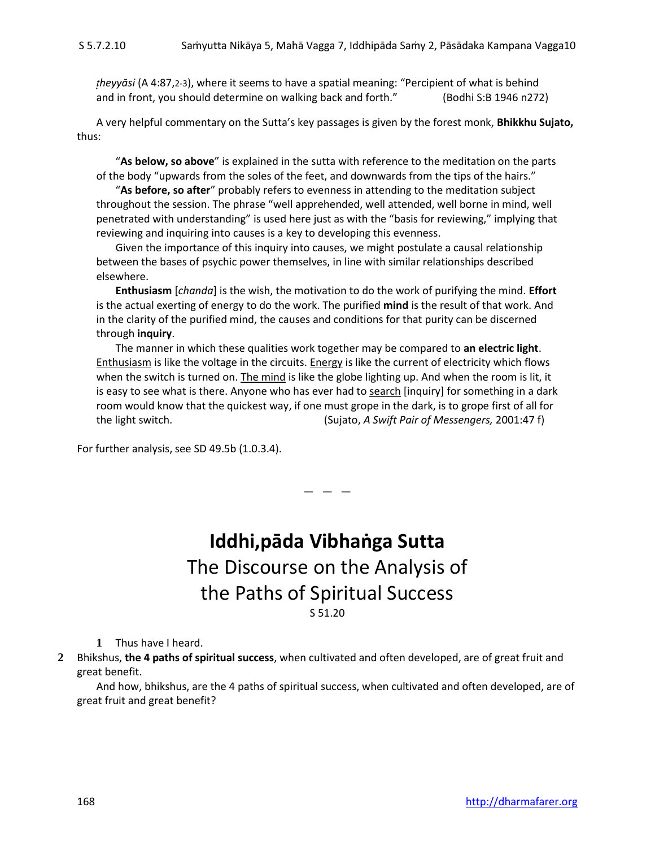*heyyāsi* (A 4:87,2-3), where it seems to have a spatial meaning: "Percipient of what is behind and in front, you should determine on walking back and forth." (Bodhi S:B 1946 n272)

A very helpful commentary on the Sutta's key passages is given by the forest monk, **Bhikkhu Sujato,** thus:

"**As below, so above**" is explained in the sutta with reference to the meditation on the parts of the body "upwards from the soles of the feet, and downwards from the tips of the hairs."

"**As before, so after**" probably refers to evenness in attending to the meditation subject throughout the session. The phrase "well apprehended, well attended, well borne in mind, well penetrated with understanding" is used here just as with the "basis for reviewing," implying that reviewing and inquiring into causes is a key to developing this evenness.

Given the importance of this inquiry into causes, we might postulate a causal relationship between the bases of psychic power themselves, in line with similar relationships described elsewhere.

**Enthusiasm** [*chanda*] is the wish, the motivation to do the work of purifying the mind. **Effort** is the actual exerting of energy to do the work. The purified **mind** is the result of that work. And in the clarity of the purified mind, the causes and conditions for that purity can be discerned through **inquiry**.

The manner in which these qualities work together may be compared to **an electric light**. Enthusiasm is like the voltage in the circuits. Energy is like the current of electricity which flows when the switch is turned on. The mind is like the globe lighting up. And when the room is lit, it is easy to see what is there. Anyone who has ever had to search [inquiry] for something in a dark room would know that the quickest way, if one must grope in the dark, is to grope first of all for the light switch. (Sujato, *A Swift Pair of Messengers,* 2001:47 f)

For further analysis, see SD 49.5b (1.0.3.4).

### **Iddhi,pāda Vibhaṅga Sutta** The Discourse on the Analysis of the Paths of Spiritual Success S 51.20

 $-$ 

**1** Thus have I heard.

**2** Bhikshus, **the 4 paths of spiritual success**, when cultivated and often developed, are of great fruit and great benefit.

And how, bhikshus, are the 4 paths of spiritual success, when cultivated and often developed, are of great fruit and great benefit?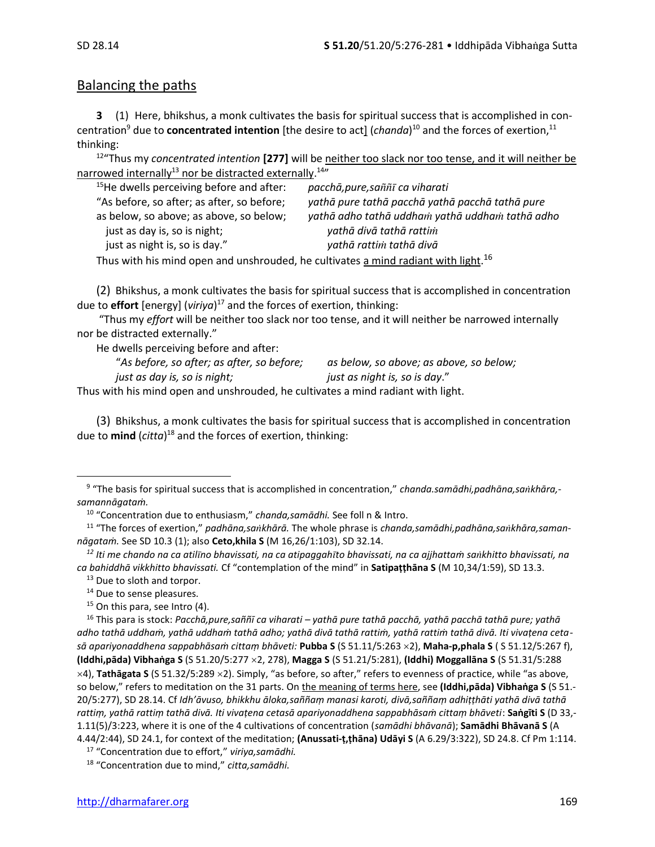#### Balancing the paths

**3** (1) Here, bhikshus, a monk cultivates the basis for spiritual success that is accomplished in concentration<sup>9</sup> due to **concentrated intention** [the desire to act] (*chanda*)<sup>10</sup> and the forces of exertion,<sup>11</sup> thinking:

12 "Thus my *concentrated intention* **[277]** will be neither too slack nor too tense, and it will neither be narrowed internally<sup>13</sup> nor be distracted externally.<sup>14</sup>"

| <sup>15</sup> He dwells perceiving before and after:                                                           | pacchā, pure, saññī ca viharati                 |  |  |
|----------------------------------------------------------------------------------------------------------------|-------------------------------------------------|--|--|
| "As before, so after; as after, so before;                                                                     | yathā pure tathā pacchā yathā pacchā tathā pure |  |  |
| as below, so above; as above, so below;                                                                        | yathā adho tathā uddham yathā uddham tathā adho |  |  |
| just as day is, so is night;                                                                                   | yathā divā tathā rattim                         |  |  |
| just as night is, so is day."                                                                                  | yathā rattim tathā divā                         |  |  |
| $\pm$ by a construction of the construction of the state of the construction of the state of the state of $16$ |                                                 |  |  |

Thus with his mind open and unshrouded, he cultivates <u>a mind radiant with light.</u><sup>16</sup>

(2) Bhikshus, a monk cultivates the basis for spiritual success that is accomplished in concentration due to **effort** [energy] (*viriya*) <sup>17</sup> and the forces of exertion, thinking:

"Thus my *effort* will be neither too slack nor too tense, and it will neither be narrowed internally nor be distracted externally."

He dwells perceiving before and after:

| "As before, so after; as after, so before;                                  | as below, so above; as above, so below; |  |
|-----------------------------------------------------------------------------|-----------------------------------------|--|
| just as day is, so is night;                                                | just as night is, so is day."           |  |
| uith bis mind onon and unshrouded, he sultivates a mind radiant with light. |                                         |  |

Thus with his mind open and unshrouded, he cultivates a mind radiant with light.

(3) Bhikshus, a monk cultivates the basis for spiritual success that is accomplished in concentration due to **mind** (*citta*) <sup>18</sup> and the forces of exertion, thinking:

- <sup>14</sup> Due to sense pleasures*.*
- $15$  On this para, see Intro (4).

<sup>9</sup> "The basis for spiritual success that is accomplished in concentration," *chanda.samādhi,padhāna,sakhāra, samannāgataṁ.*

<sup>10</sup> "Concentration due to enthusiasm," *chanda,samādhi.* See foll n & Intro.

<sup>11</sup> "The forces of exertion," *padhāna,sakhārā.* The whole phrase is *chanda,samādhi,padhāna,sakhāra,samannāgataṁ.* See SD 10.3 (1); also **Ceto,khila S** (M 16,26/1:103), SD 32.14.

*<sup>12</sup> Iti me chando na ca atilno bhavissati, na ca atipaggahto bhavissati, na ca ajjhattaṁ sakhitto bhavissati, na ca bahiddhā vikkhitto bhavissati.* Cf "contemplation of the mind" in **Satipaṭṭhāna S** (M 10,34/1:59), SD 13.3.

<sup>&</sup>lt;sup>13</sup> Due to sloth and torpor.

<sup>16</sup> This para is stock: *Pacchā,pure,saññī ca viharati – yathā pure tathā pacchā, yathā pacchā tathā pure; yathā adho tathā uddhaṁ, yathā uddhaṁ tathā adho; yathā divā tathā rattiṁ, yathā rattiṁ tathā divā. Iti vivaṭena cetasā apariyonaddhena sappabhāsaṁ cittaṃ bhāveti:* **Pubba S** (S 51.11/5:263 2), **Maha-p,phala S** ( S 51.12/5:267 f), **(Iddhi,pāda) Vibhaṅga S** (S 51.20/5:277 2, 278), **Magga S** (S 51.21/5:281), **(Iddhi) Moggallāna S** (S 51.31/5:288  $\times$ 4), Tathāgata S (S 51.32/5:289  $\times$ 2). Simply, "as before, so after," refers to evenness of practice, while "as above, so below," refers to meditation on the 31 parts. On the meaning of terms here, see **(Iddhi,pāda) Vibhaṅga S** (S 51.- 20/5:277), SD 28.14. Cf *Idh'āvuso, bhikkhu āloka,saññaṃ manasi karoti, divā,saññaṃ adhiṭṭhāti yathā divā tathā rattiṃ, yathā rattiṃ tathā divā. Iti vivaṭena cetasā apariyonaddhena sappabhāsaṁ cittaṃ bhāveti*: **Saṅgīti S** (D 33,- 1.11(5)/3:223, where it is one of the 4 cultivations of concentration (*samādhi bhāvanā*); **Samādhi Bhāvanā S** (A 4.44/2:44), SD 24.1, for context of the meditation; **(Anussati-ṭ,ṭhāna) Udāyi S** (A 6.29/3:322), SD 24.8. Cf Pm 1:114.

<sup>17</sup> "Concentration due to effort," *viriya,samādhi.*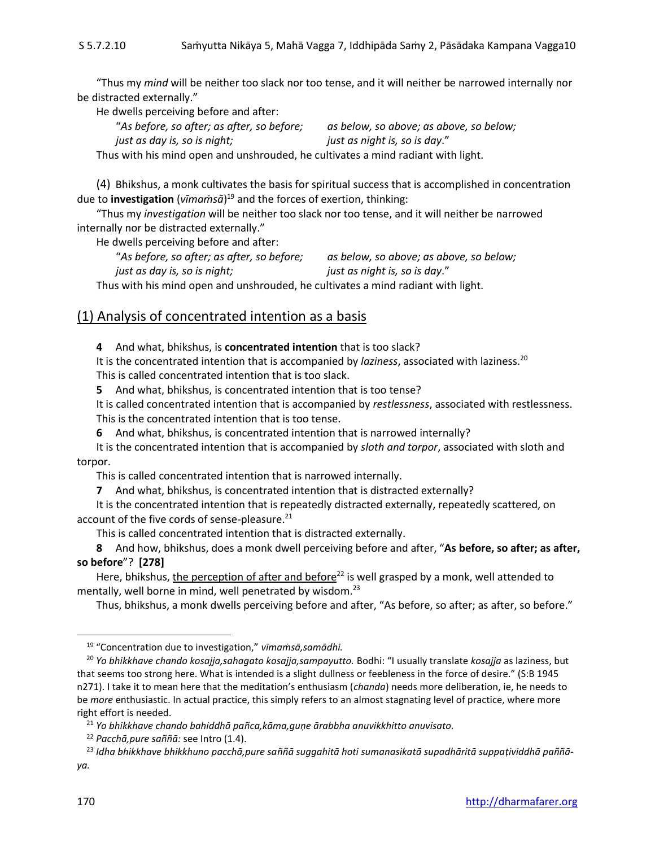"Thus my *mind* will be neither too slack nor too tense, and it will neither be narrowed internally nor be distracted externally."

He dwells perceiving before and after:

"*As before, so after; as after, so before; as below, so above; as above, so below;*

*just as day is, so is night; just as night is, so is day*."

Thus with his mind open and unshrouded, he cultivates a mind radiant with light.

(4) Bhikshus, a monk cultivates the basis for spiritual success that is accomplished in concentration due to **investigation** (*vīmaṁsā*) <sup>19</sup> and the forces of exertion, thinking:

"Thus my *investigation* will be neither too slack nor too tense, and it will neither be narrowed internally nor be distracted externally."

He dwells perceiving before and after:

"*As before, so after; as after, so before; as below, so above; as above, so below; just as day is, so is night; just as night is, so is day*." Thus with his mind open and unshrouded, he cultivates a mind radiant with light.

#### (1) Analysis of concentrated intention as a basis

**4** And what, bhikshus, is **concentrated intention** that is too slack?

It is the concentrated intention that is accompanied by *laziness*, associated with laziness. 20 This is called concentrated intention that is too slack.

**5** And what, bhikshus, is concentrated intention that is too tense?

It is called concentrated intention that is accompanied by *restlessness*, associated with restlessness. This is the concentrated intention that is too tense.

**6** And what, bhikshus, is concentrated intention that is narrowed internally?

It is the concentrated intention that is accompanied by *sloth and torpor*, associated with sloth and torpor.

This is called concentrated intention that is narrowed internally.

**7** And what, bhikshus, is concentrated intention that is distracted externally?

It is the concentrated intention that is repeatedly distracted externally, repeatedly scattered, on account of the five cords of sense-pleasure. 21

This is called concentrated intention that is distracted externally.

**8** And how, bhikshus, does a monk dwell perceiving before and after, "**As before, so after; as after, so before**"? **[278]**

Here, bhikshus, the perception of after and before<sup>22</sup> is well grasped by a monk, well attended to mentally, well borne in mind, well penetrated by wisdom.<sup>23</sup>

Thus, bhikshus, a monk dwells perceiving before and after, "As before, so after; as after, so before."

<sup>19</sup> "Concentration due to investigation," *vīmaṁsā,samādhi.*

<sup>20</sup> *Yo bhikkhave chando kosajja,sahagato kosajja,sampayutto.* Bodhi: "I usually translate *kosajja* as laziness, but that seems too strong here. What is intended is a slight dullness or feebleness in the force of desire." (S:B 1945 n271). I take it to mean here that the meditation's enthusiasm (*chanda*) needs more deliberation, ie, he needs to be *more* enthusiastic. In actual practice, this simply refers to an almost stagnating level of practice, where more right effort is needed.

<sup>21</sup> *Yo bhikkhave chando bahiddhā pañca,kāma,guṇe ārabbha anuvikkhitto anuvisato.*

<sup>22</sup> *Pacchā,pure saññā:* see Intro (1.4).

<sup>23</sup> *Idha bhikkhave bhikkhuno pacchā,pure saññā suggahitā hoti sumanasikatā supadhāritā suppaṭividdhā paññā-*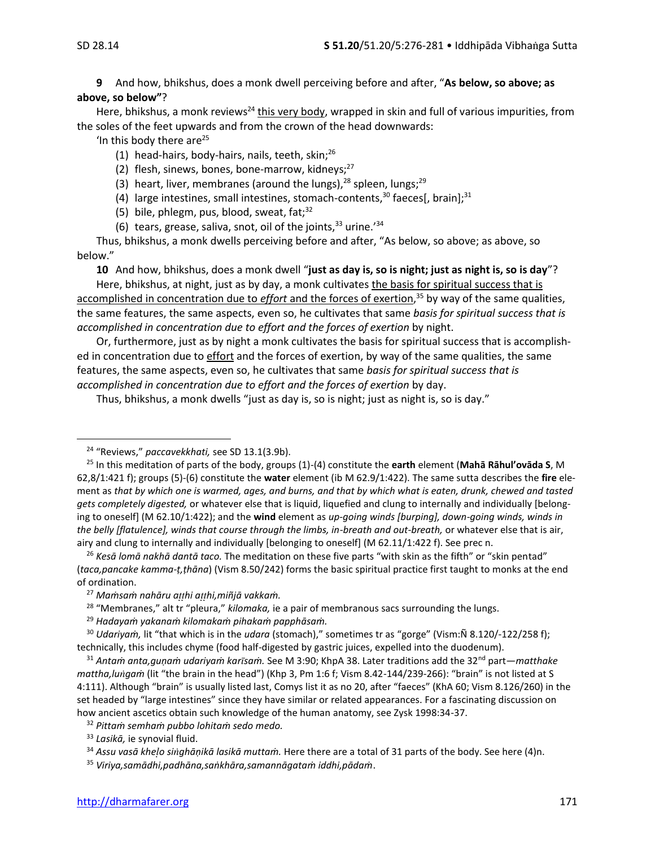**9** And how, bhikshus, does a monk dwell perceiving before and after, "**As below, so above; as above, so below"**?

Here, bhikshus, a monk reviews<sup>24</sup> this very body, wrapped in skin and full of various impurities, from the soles of the feet upwards and from the crown of the head downwards:

'In this body there are $^{25}$ 

- (1) head-hairs, body-hairs, nails, teeth, skin; $^{26}$
- (2) flesh, sinews, bones, bone-marrow, kidneys; $^{27}$
- (3) heart, liver, membranes (around the lungs), $^{28}$  spleen, lungs; $^{29}$
- (4) large intestines, small intestines, stomach-contents,<sup>30</sup> faeces[, brain];<sup>31</sup>
- (5) bile, phlegm, pus, blood, sweat,  $fat;^{32}$
- (6) tears, grease, saliva, snot, oil of the joints,  $33$  urine.<sup>'34</sup>

Thus, bhikshus, a monk dwells perceiving before and after, "As below, so above; as above, so below."

**10** And how, bhikshus, does a monk dwell "**just as day is, so is night; just as night is, so is day**"?

Here, bhikshus, at night, just as by day, a monk cultivates the basis for spiritual success that is accomplished in concentration due to *effort* and the forces of exertion, <sup>35</sup> by way of the same qualities, the same features, the same aspects, even so, he cultivates that same *basis for spiritual success that is accomplished in concentration due to effort and the forces of exertion* by night.

Or, furthermore, just as by night a monk cultivates the basis for spiritual success that is accomplished in concentration due to effort and the forces of exertion, by way of the same qualities, the same features, the same aspects, even so, he cultivates that same *basis for spiritual success that is accomplished in concentration due to effort and the forces of exertion* by day.

Thus, bhikshus, a monk dwells "just as day is, so is night; just as night is, so is day."

<sup>26</sup> *Kesā lomā nakhā dantā taco.* The meditation on these five parts "with skin as the fifth" or "skin pentad" (*taca,pancake kamma-ṭ,ṭhāna*) (Vism 8.50/242) forms the basic spiritual practice first taught to monks at the end of ordination.

<sup>24</sup> "Reviews," *paccavekkhati,* see SD 13.1(3.9b).

<sup>25</sup> In this meditation of parts of the body, groups (1)-(4) constitute the **earth** element (**Mahā Rāhul'ovāda S**, M 62,8/1:421 f); groups (5)-(6) constitute the **water** element (ib M 62.9/1:422). The same sutta describes the **fire** element as *that by which one is warmed, ages, and burns, and that by which what is eaten, drunk, chewed and tasted gets completely digested,* or whatever else that is liquid, liquefied and clung to internally and individually [belonging to oneself] (M 62.10/1:422); and the **wind** element as *up-going winds [burping], down-going winds, winds in the belly [flatulence], winds that course through the limbs, in-breath and out-breath,* or whatever else that is air, airy and clung to internally and individually [belonging to oneself] (M 62.11/1:422 f). See prec n.

<sup>27</sup> *Maṁsaṁ nahāru ahi ahi,miñjā vakkaṁ.*

<sup>28</sup> "Membranes," alt tr "pleura," *kilomaka,* ie a pair of membranous sacs surrounding the lungs.

<sup>29</sup> *Hadayaṁ yakanaṁ kilomakaṁ pihakaṁ papphāsaṁ.*

<sup>30</sup> *Udariyaṁ,* lit "that which is in the *udara* (stomach)," sometimes tr as "gorge" (Vism:Ñ 8.120/-122/258 f); technically, this includes chyme (food half-digested by gastric juices, expelled into the duodenum).

<sup>31</sup> *Antaṁ anta,guṇaṁ udariyaṁ karsaṁ.* See M 3:90; KhpA 38. Later traditions add the 32nd part—*matthake mattha,lugaṁ* (lit "the brain in the head") (Khp 3, Pm 1:6 f; Vism 8.42-144/239-266): "brain" is not listed at S 4:111). Although "brain" is usually listed last, Comys list it as no 20, after "faeces" (KhA 60; Vism 8.126/260) in the set headed by "large intestines" since they have similar or related appearances. For a fascinating discussion on how ancient ascetics obtain such knowledge of the human anatomy, see Zysk 1998:34-37.

<sup>32</sup> *Pittaṁ semhaṁ pubbo lohitaṁ sedo medo.*

<sup>33</sup> *Lasikā,* ie synovial fluid.

<sup>34</sup> *Assu vasā kheo sighāṇikā lasikā muttaṁ.* Here there are a total of 31 parts of the body. See here (4)n.

<sup>35</sup> *Viriya,samādhi,padhāna,saṅkhāra,samannāgataṁ iddhi,pādaṁ*.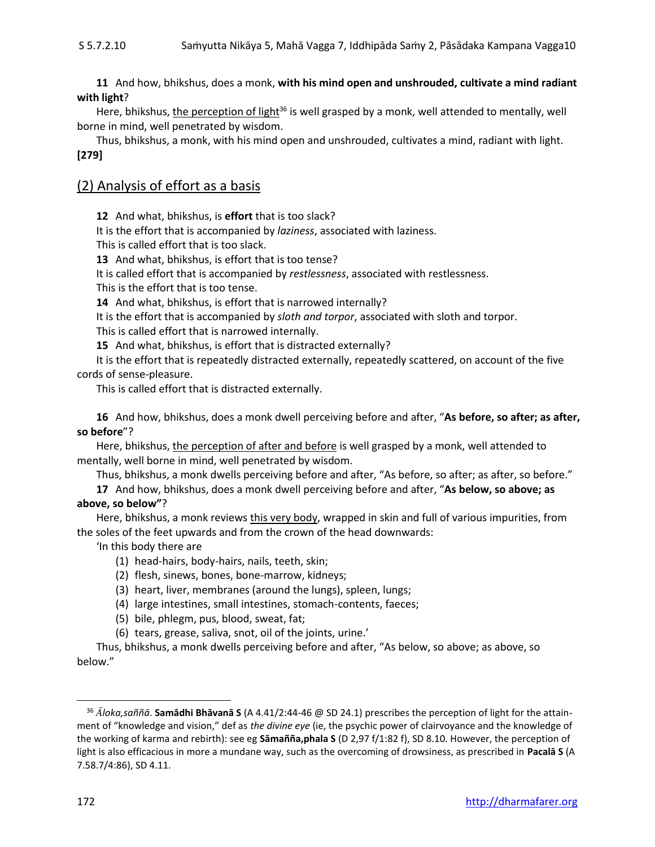**11** And how, bhikshus, does a monk, **with his mind open and unshrouded, cultivate a mind radiant with light**?

Here, bhikshus, the perception of light<sup>36</sup> is well grasped by a monk, well attended to mentally, well borne in mind, well penetrated by wisdom.

Thus, bhikshus, a monk, with his mind open and unshrouded, cultivates a mind, radiant with light. **[279]**

#### (2) Analysis of effort as a basis

**12** And what, bhikshus, is **effort** that is too slack?

It is the effort that is accompanied by *laziness*, associated with laziness.

This is called effort that is too slack.

**13** And what, bhikshus, is effort that is too tense?

It is called effort that is accompanied by *restlessness*, associated with restlessness.

This is the effort that is too tense.

**14** And what, bhikshus, is effort that is narrowed internally?

It is the effort that is accompanied by *sloth and torpor*, associated with sloth and torpor.

This is called effort that is narrowed internally.

**15** And what, bhikshus, is effort that is distracted externally?

It is the effort that is repeatedly distracted externally, repeatedly scattered, on account of the five cords of sense-pleasure.

This is called effort that is distracted externally.

**16** And how, bhikshus, does a monk dwell perceiving before and after, "**As before, so after; as after, so before**"?

Here, bhikshus, the perception of after and before is well grasped by a monk, well attended to mentally, well borne in mind, well penetrated by wisdom.

Thus, bhikshus, a monk dwells perceiving before and after, "As before, so after; as after, so before."

**17** And how, bhikshus, does a monk dwell perceiving before and after, "**As below, so above; as above, so below"**?

Here, bhikshus, a monk reviews this very body, wrapped in skin and full of various impurities, from the soles of the feet upwards and from the crown of the head downwards:

'In this body there are

- (1) head-hairs, body-hairs, nails, teeth, skin;
- (2) flesh, sinews, bones, bone-marrow, kidneys;
- (3) heart, liver, membranes (around the lungs), spleen, lungs;
- (4) large intestines, small intestines, stomach-contents, faeces;
- (5) bile, phlegm, pus, blood, sweat, fat;
- (6) tears, grease, saliva, snot, oil of the joints, urine.'

Thus, bhikshus, a monk dwells perceiving before and after, "As below, so above; as above, so below."

<sup>36</sup> *loka,saññā.* **Samādhi Bhāvanā S** (A 4.41/2:44-46 @ SD 24.1) prescribes the perception of light for the attainment of "knowledge and vision," def as *the divine eye* (ie, the psychic power of clairvoyance and the knowledge of the working of karma and rebirth): see eg **Sāmañña,phala S** (D 2,97 f/1:82 f), SD 8.10. However, the perception of light is also efficacious in more a mundane way, such as the overcoming of drowsiness, as prescribed in **Pacalā S** (A 7.58.7/4:86), SD 4.11.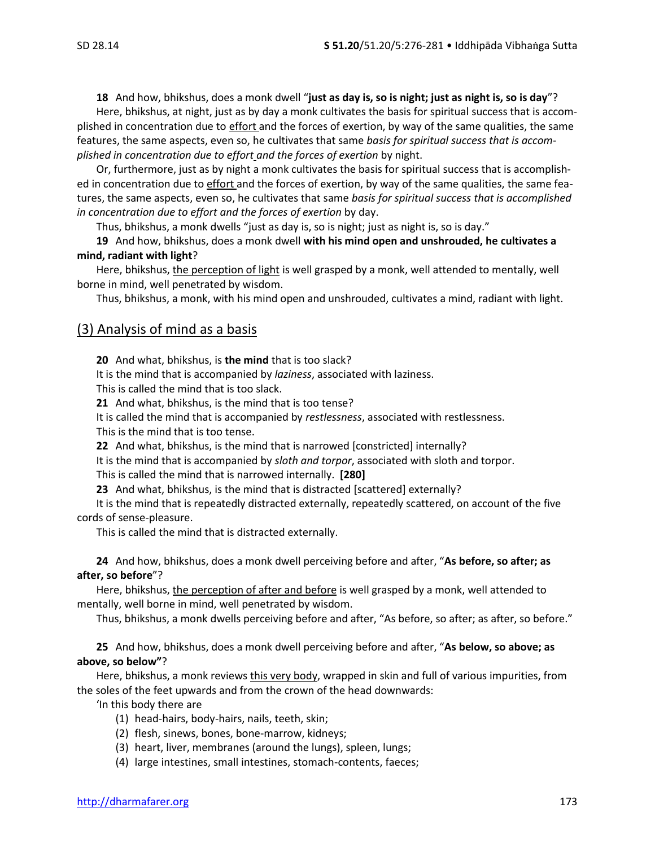**18** And how, bhikshus, does a monk dwell "**just as day is, so is night; just as night is, so is day**"?

Here, bhikshus, at night, just as by day a monk cultivates the basis for spiritual success that is accomplished in concentration due to effort and the forces of exertion, by way of the same qualities, the same features, the same aspects, even so, he cultivates that same *basis for spiritual success that is accomplished in concentration due to effort and the forces of exertion* by night.

Or, furthermore, just as by night a monk cultivates the basis for spiritual success that is accomplished in concentration due to effort and the forces of exertion, by way of the same qualities, the same features, the same aspects, even so, he cultivates that same *basis for spiritual success that is accomplished in concentration due to effort and the forces of exertion* by day.

Thus, bhikshus, a monk dwells "just as day is, so is night; just as night is, so is day."

**19** And how, bhikshus, does a monk dwell **with his mind open and unshrouded, he cultivates a mind, radiant with light**?

Here, bhikshus, the perception of light is well grasped by a monk, well attended to mentally, well borne in mind, well penetrated by wisdom.

Thus, bhikshus, a monk, with his mind open and unshrouded, cultivates a mind, radiant with light.

#### (3) Analysis of mind as a basis

**20** And what, bhikshus, is **the mind** that is too slack?

It is the mind that is accompanied by *laziness*, associated with laziness.

This is called the mind that is too slack.

**21** And what, bhikshus, is the mind that is too tense?

It is called the mind that is accompanied by *restlessness*, associated with restlessness. This is the mind that is too tense.

**22** And what, bhikshus, is the mind that is narrowed [constricted] internally?

It is the mind that is accompanied by *sloth and torpor*, associated with sloth and torpor.

This is called the mind that is narrowed internally. **[280]**

**23** And what, bhikshus, is the mind that is distracted [scattered] externally?

It is the mind that is repeatedly distracted externally, repeatedly scattered, on account of the five cords of sense-pleasure.

This is called the mind that is distracted externally.

**24** And how, bhikshus, does a monk dwell perceiving before and after, "**As before, so after; as after, so before**"?

Here, bhikshus, the perception of after and before is well grasped by a monk, well attended to mentally, well borne in mind, well penetrated by wisdom.

Thus, bhikshus, a monk dwells perceiving before and after, "As before, so after; as after, so before."

**25** And how, bhikshus, does a monk dwell perceiving before and after, "**As below, so above; as above, so below"**?

Here, bhikshus, a monk reviews this very body, wrapped in skin and full of various impurities, from the soles of the feet upwards and from the crown of the head downwards:

'In this body there are

- (1) head-hairs, body-hairs, nails, teeth, skin;
- (2) flesh, sinews, bones, bone-marrow, kidneys;
- (3) heart, liver, membranes (around the lungs), spleen, lungs;
- (4) large intestines, small intestines, stomach-contents, faeces;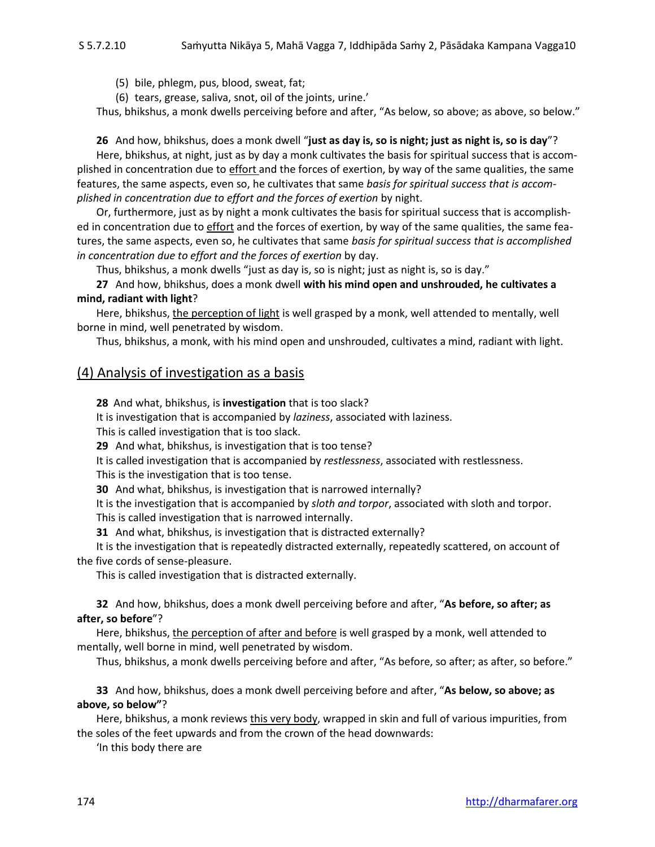(5) bile, phlegm, pus, blood, sweat, fat;

(6) tears, grease, saliva, snot, oil of the joints, urine.'

Thus, bhikshus, a monk dwells perceiving before and after, "As below, so above; as above, so below."

**26** And how, bhikshus, does a monk dwell "**just as day is, so is night; just as night is, so is day**"?

Here, bhikshus, at night, just as by day a monk cultivates the basis for spiritual success that is accomplished in concentration due to effort and the forces of exertion, by way of the same qualities, the same features, the same aspects, even so, he cultivates that same *basis for spiritual success that is accomplished in concentration due to effort and the forces of exertion* by night.

Or, furthermore, just as by night a monk cultivates the basis for spiritual success that is accomplished in concentration due to effort and the forces of exertion, by way of the same qualities, the same features, the same aspects, even so, he cultivates that same *basis for spiritual success that is accomplished in concentration due to effort and the forces of exertion* by day.

Thus, bhikshus, a monk dwells "just as day is, so is night; just as night is, so is day."

**27** And how, bhikshus, does a monk dwell **with his mind open and unshrouded, he cultivates a mind, radiant with light**?

Here, bhikshus, the perception of light is well grasped by a monk, well attended to mentally, well borne in mind, well penetrated by wisdom.

Thus, bhikshus, a monk, with his mind open and unshrouded, cultivates a mind, radiant with light.

#### (4) Analysis of investigation as a basis

**28** And what, bhikshus, is **investigation** that is too slack?

It is investigation that is accompanied by *laziness*, associated with laziness.

This is called investigation that is too slack.

**29** And what, bhikshus, is investigation that is too tense?

It is called investigation that is accompanied by *restlessness*, associated with restlessness.

This is the investigation that is too tense.

**30** And what, bhikshus, is investigation that is narrowed internally?

It is the investigation that is accompanied by *sloth and torpor*, associated with sloth and torpor. This is called investigation that is narrowed internally.

**31** And what, bhikshus, is investigation that is distracted externally?

It is the investigation that is repeatedly distracted externally, repeatedly scattered, on account of the five cords of sense-pleasure.

This is called investigation that is distracted externally.

**32** And how, bhikshus, does a monk dwell perceiving before and after, "**As before, so after; as after, so before**"?

Here, bhikshus, the perception of after and before is well grasped by a monk, well attended to mentally, well borne in mind, well penetrated by wisdom.

Thus, bhikshus, a monk dwells perceiving before and after, "As before, so after; as after, so before."

**33** And how, bhikshus, does a monk dwell perceiving before and after, "**As below, so above; as above, so below"**?

Here, bhikshus, a monk reviews this very body, wrapped in skin and full of various impurities, from the soles of the feet upwards and from the crown of the head downwards:

'In this body there are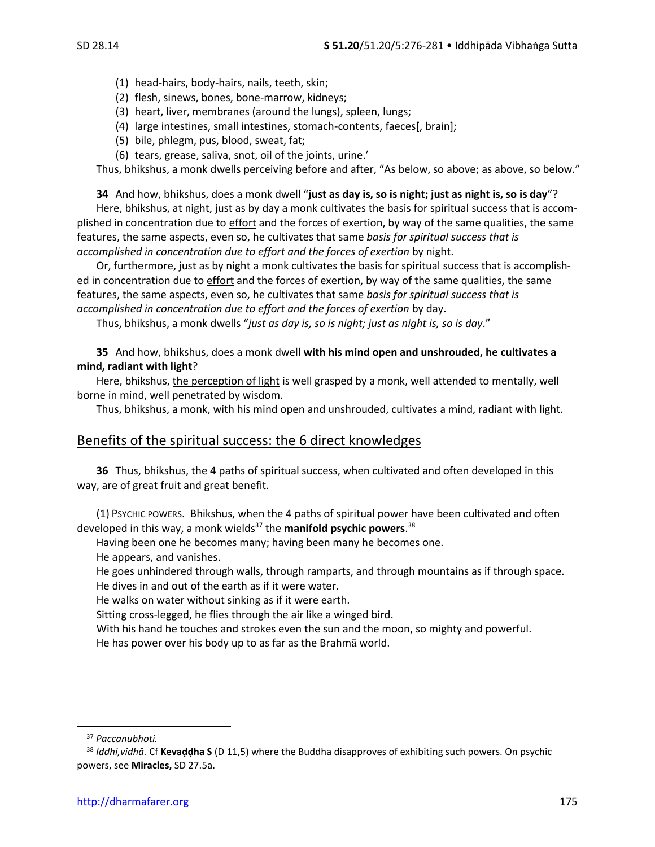- (1) head-hairs, body-hairs, nails, teeth, skin;
- (2) flesh, sinews, bones, bone-marrow, kidneys;
- (3) heart, liver, membranes (around the lungs), spleen, lungs;
- (4) large intestines, small intestines, stomach-contents, faeces[, brain];
- (5) bile, phlegm, pus, blood, sweat, fat;
- (6) tears, grease, saliva, snot, oil of the joints, urine.'

Thus, bhikshus, a monk dwells perceiving before and after, "As below, so above; as above, so below."

**34** And how, bhikshus, does a monk dwell "**just as day is, so is night; just as night is, so is day**"?

Here, bhikshus, at night, just as by day a monk cultivates the basis for spiritual success that is accomplished in concentration due to effort and the forces of exertion, by way of the same qualities, the same features, the same aspects, even so, he cultivates that same *basis for spiritual success that is accomplished in concentration due to effort and the forces of exertion* by night.

Or, furthermore, just as by night a monk cultivates the basis for spiritual success that is accomplished in concentration due to effort and the forces of exertion, by way of the same qualities, the same features, the same aspects, even so, he cultivates that same *basis for spiritual success that is accomplished in concentration due to effort and the forces of exertion* by day.

Thus, bhikshus, a monk dwells "*just as day is, so is night; just as night is, so is day*."

**35** And how, bhikshus, does a monk dwell **with his mind open and unshrouded, he cultivates a mind, radiant with light**?

Here, bhikshus, *the perception of light* is well grasped by a monk, well attended to mentally, well borne in mind, well penetrated by wisdom.

Thus, bhikshus, a monk, with his mind open and unshrouded, cultivates a mind, radiant with light.

#### Benefits of the spiritual success: the 6 direct knowledges

**36** Thus, bhikshus, the 4 paths of spiritual success, when cultivated and often developed in this way, are of great fruit and great benefit.

(1) PSYCHIC POWERS. Bhikshus, when the 4 paths of spiritual power have been cultivated and often developed in this way, a monk wields<sup>37</sup> the **manifold psychic powers**.<sup>38</sup>

Having been one he becomes many; having been many he becomes one.

He appears, and vanishes.

He goes unhindered through walls, through ramparts, and through mountains as if through space. He dives in and out of the earth as if it were water.

He walks on water without sinking as if it were earth.

Sitting cross-legged, he flies through the air like a winged bird.

With his hand he touches and strokes even the sun and the moon, so mighty and powerful.

He has power over his body up to as far as the Brahma world.

<sup>37</sup> *Paccanubhoti.*

<sup>38</sup> *Iddhi,vidhā.* Cf **Kevaḍḍha S** (D 11,5) where the Buddha disapproves of exhibiting such powers. On psychic powers, see **Miracles,** SD 27.5a.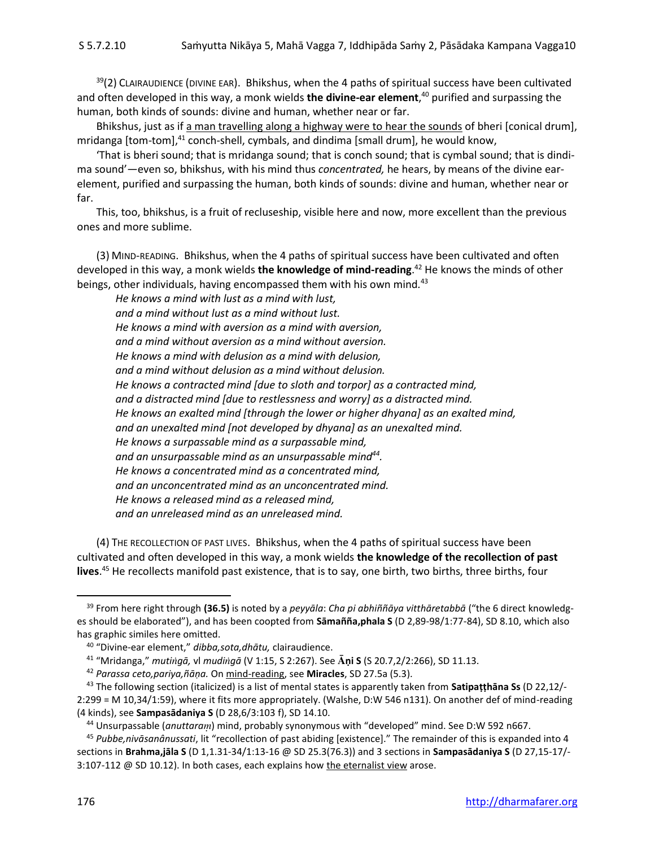$39(2)$  CLAIRAUDIENCE (DIVINE EAR). Bhikshus, when the 4 paths of spiritual success have been cultivated and often developed in this way, a monk wields **the divine-ear element**, <sup>40</sup> purified and surpassing the human, both kinds of sounds: divine and human, whether near or far.

Bhikshus, just as if a man travelling along a highway were to hear the sounds of bheri [conical drum], mridanga [tom-tom], $41$  conch-shell, cymbals, and dindima [small drum], he would know,

'That is bheri sound; that is mridanga sound; that is conch sound; that is cymbal sound; that is dindima sound'—even so, bhikshus, with his mind thus *concentrated,* he hears, by means of the divine earelement, purified and surpassing the human, both kinds of sounds: divine and human, whether near or far.

This, too, bhikshus, is a fruit of recluseship, visible here and now, more excellent than the previous ones and more sublime.

(3) MIND-READING. Bhikshus, when the 4 paths of spiritual success have been cultivated and often developed in this way, a monk wields **the knowledge of mind-reading**. <sup>42</sup> He knows the minds of other beings, other individuals, having encompassed them with his own mind*.* 43

*He knows a mind with lust as a mind with lust, and a mind without lust as a mind without lust. He knows a mind with aversion as a mind with aversion, and a mind without aversion as a mind without aversion. He knows a mind with delusion as a mind with delusion, and a mind without delusion as a mind without delusion. He knows a contracted mind [due to sloth and torpor] as a contracted mind, and a distracted mind [due to restlessness and worry] as a distracted mind. He knows an exalted mind [through the lower or higher dhyana] as an exalted mind, and an unexalted mind [not developed by dhyana] as an unexalted mind. He knows a surpassable mind as a surpassable mind, and an unsurpassable mind as an unsurpassable mind<sup>44</sup> . He knows a concentrated mind as a concentrated mind, and an unconcentrated mind as an unconcentrated mind. He knows a released mind as a released mind, and an unreleased mind as an unreleased mind.*

(4) THE RECOLLECTION OF PAST LIVES. Bhikshus, when the 4 paths of spiritual success have been cultivated and often developed in this way, a monk wields **the knowledge of the recollection of past lives**. <sup>45</sup> He recollects manifold past existence, that is to say, one birth, two births, three births, four

<sup>39</sup> From here right through **(36.5)** is noted by a *peyyāla*: *Cha pi abhiññāya vitthāretabbā* ("the 6 direct knowledges should be elaborated"), and has been coopted from **Sāmañña,phala S** (D 2,89-98/1:77-84), SD 8.10, which also has graphic similes here omitted.

<sup>40</sup> "Divine-ear element," *dibba,sota,dhātu,* clairaudience.

<sup>41</sup> "Mridanga," *mutigā,* vl *mudigā* (V 1:15, S 2:267). See **ṇi S** (S 20.7,2/2:266), SD 11.13.

<sup>42</sup> *Parassa ceto,pariya,ñāṇa.* On mind-reading, see **Miracles**, SD 27.5a (5.3).

<sup>43</sup> The following section (italicized) is a list of mental states is apparently taken from **Satipaṭṭhāna Ss** (D 22,12/- 2:299 = M 10,34/1:59), where it fits more appropriately. (Walshe, D:W 546 n131). On another def of mind-reading (4 kinds), see **Sampasādaniya S** (D 28,6/3:103 f), SD 14.10.

<sup>&</sup>lt;sup>44</sup> Unsurpassable (*anuttaram*) mind, probably synonymous with "developed" mind. See D:W 592 n667.

<sup>45</sup> *Pubbe,nivāsanânussati*, lit "recollection of past abiding [existence]." The remainder of this is expanded into 4 sections in **Brahma,jāla S** (D 1,1.31-34/1:13-16 @ SD 25.3(76.3)) and 3 sections in **Sampasādaniya S** (D 27,15-17/- 3:107-112 @ SD 10.12). In both cases, each explains how the eternalist view arose.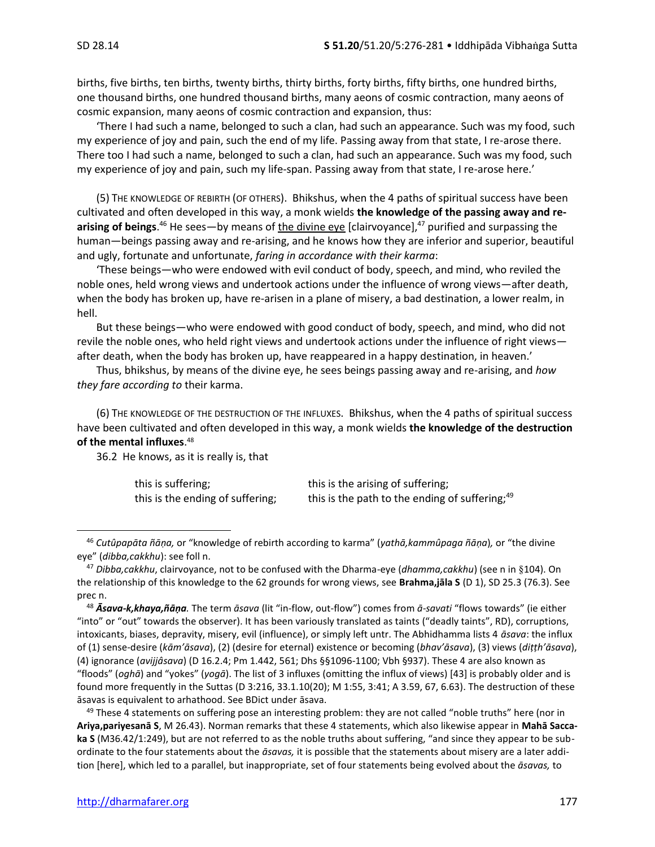births, five births, ten births, twenty births, thirty births, forty births, fifty births, one hundred births, one thousand births, one hundred thousand births, many aeons of cosmic contraction, many aeons of cosmic expansion, many aeons of cosmic contraction and expansion, thus:

'There I had such a name, belonged to such a clan, had such an appearance. Such was my food, such my experience of joy and pain, such the end of my life. Passing away from that state, I re-arose there. There too I had such a name, belonged to such a clan, had such an appearance. Such was my food, such my experience of joy and pain, such my life-span. Passing away from that state, I re-arose here.'

(5) THE KNOWLEDGE OF REBIRTH (OF OTHERS). Bhikshus, when the 4 paths of spiritual success have been cultivated and often developed in this way, a monk wields **the knowledge of the passing away and re**arising of beings.<sup>46</sup> He sees—by means of <u>the divine eye</u> [clairvoyance],<sup>47</sup> purified and surpassing the human—beings passing away and re-arising, and he knows how they are inferior and superior, beautiful and ugly, fortunate and unfortunate, *faring in accordance with their karma*:

'These beings—who were endowed with evil conduct of body, speech, and mind, who reviled the noble ones, held wrong views and undertook actions under the influence of wrong views—after death, when the body has broken up, have re-arisen in a plane of misery, a bad destination, a lower realm, in hell.

But these beings—who were endowed with good conduct of body, speech, and mind, who did not revile the noble ones, who held right views and undertook actions under the influence of right views after death, when the body has broken up, have reappeared in a happy destination, in heaven.'

Thus, bhikshus, by means of the divine eye, he sees beings passing away and re-arising, and *how they fare according to* their karma.

(6) THE KNOWLEDGE OF THE DESTRUCTION OF THE INFLUXES. Bhikshus, when the 4 paths of spiritual success have been cultivated and often developed in this way, a monk wields **the knowledge of the destruction of the mental influxes**. 48

36.2 He knows, as it is really is, that

| this is suffering;               | this is the arising of suffering;                          |
|----------------------------------|------------------------------------------------------------|
| this is the ending of suffering; | this is the path to the ending of suffering; <sup>49</sup> |

<sup>46</sup> *Cutûpapāta ñāṇa,* or "knowledge of rebirth according to karma" (*yathā,kammûpaga ñāṇa*)*,* or "the divine eye" (*dibba,cakkhu*): see foll n.

<sup>49</sup> These 4 statements on suffering pose an interesting problem: they are not called "noble truths" here (nor in **Ariya,pariyesanā S**, M 26.43). Norman remarks that these 4 statements, which also likewise appear in **Mahā Saccaka S** (M36.42/1:249), but are not referred to as the noble truths about suffering, "and since they appear to be subordinate to the four statements about the *āsavas,* it is possible that the statements about misery are a later addition [here], which led to a parallel, but inappropriate, set of four statements being evolved about the *āsavas,* to

<sup>47</sup> *Dibba,cakkhu*, clairvoyance, not to be confused with the Dharma-eye (*dhamma,cakkhu*) (see n in 104). On the relationship of this knowledge to the 62 grounds for wrong views, see **Brahma,jāla S** (D 1), SD 25.3 (76.3). See prec n.

<sup>48</sup> *Āsava-k,khaya,ñāṇa.* The term *āsava* (lit "in-flow, out-flow") comes from *ā-savati* "flows towards" (ie either "into" or "out" towards the observer). It has been variously translated as taints ("deadly taints", RD), corruptions, intoxicants, biases, depravity, misery, evil (influence), or simply left untr. The Abhidhamma lists 4 *āsava*: the influx of (1) sense-desire (*kām'āsava*), (2) (desire for eternal) existence or becoming (*bhav'āsava*), (3) views (*diṭṭh'āsava*), (4) ignorance (*avijjâsava*) (D 16.2.4; Pm 1.442, 561; Dhs §§1096-1100; Vbh §937). These 4 are also known as "floods" (*oghā*) and "yokes" (*yogā*). The list of 3 influxes (omitting the influx of views) [43] is probably older and is found more frequently in the Suttas (D 3:216, 33.1.10(20); M 1:55, 3:41; A 3.59, 67, 6.63). The destruction of these āsavas is equivalent to arhathood. See BDict under āsava.